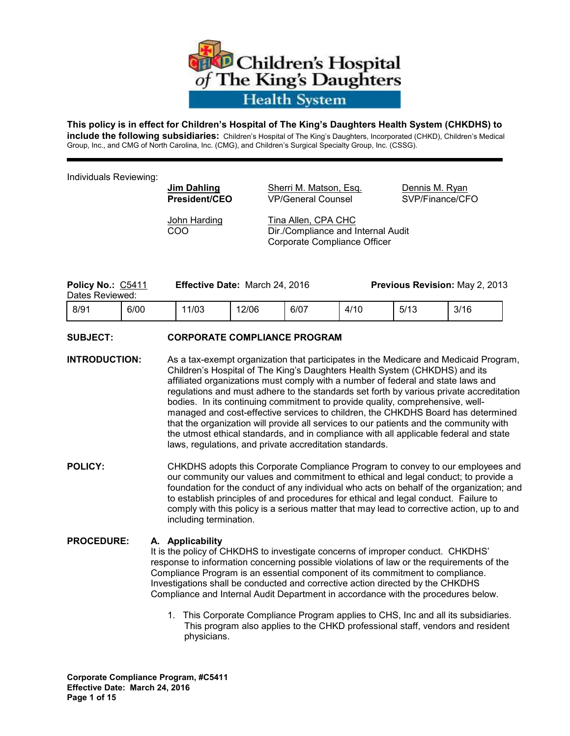

#### **This policy is in effect for Children's Hospital of The King's Daughters Health System (CHKDHS) to**

**include the following subsidiaries:** Children's Hospital of The King's Daughters, Incorporated (CHKD), Children's Medical Group, Inc., and CMG of North Carolina, Inc. (CMG), and Children's Surgical Specialty Group, Inc. (CSSG).

Individuals Reviewing:

**Jim Dahling Sherri M. Matson, Esq. Communis M. Ryan President/CEO** VP/General CounselSVP/Finance/CFO

John Harding Tina Allen, CPA CHC COO Dir./Compliance and Internal Audit Corporate Compliance Officer

| <b>Policy No.: C5411</b><br>Dates Reviewed: |      | <b>Effective Date: March 24, 2016</b> |       |      | <b>Previous Revision: May 2, 2013</b> |      |      |
|---------------------------------------------|------|---------------------------------------|-------|------|---------------------------------------|------|------|
| -8/91                                       | 6/00 | 11/03                                 | 12/06 | 6/07 | 4/10                                  | 5/13 | 3/16 |

### **SUBJECT: CORPORATE COMPLIANCE PROGRAM**

- **INTRODUCTION:** As a tax-exempt organization that participates in the Medicare and Medicaid Program, Children's Hospital of The King's Daughters Health System (CHKDHS) and its affiliated organizations must comply with a number of federal and state laws and regulations and must adhere to the standards set forth by various private accreditation bodies. In its continuing commitment to provide quality, comprehensive, wellmanaged and cost-effective services to children, the CHKDHS Board has determined that the organization will provide all services to our patients and the community with the utmost ethical standards, and in compliance with all applicable federal and state laws, regulations, and private accreditation standards.
- **POLICY:** CHKDHS adopts this Corporate Compliance Program to convey to our employees and our community our values and commitment to ethical and legal conduct; to provide a foundation for the conduct of any individual who acts on behalf of the organization; and to establish principles of and procedures for ethical and legal conduct. Failure to comply with this policy is a serious matter that may lead to corrective action, up to and including termination.

#### **PROCEDURE: A. Applicability**

It is the policy of CHKDHS to investigate concerns of improper conduct. CHKDHS' response to information concerning possible violations of law or the requirements of the Compliance Program is an essential component of its commitment to compliance. Investigations shall be conducted and corrective action directed by the CHKDHS Compliance and Internal Audit Department in accordance with the procedures below.

 1. This Corporate Compliance Program applies to CHS, Inc and all its subsidiaries. This program also applies to the CHKD professional staff, vendors and resident physicians.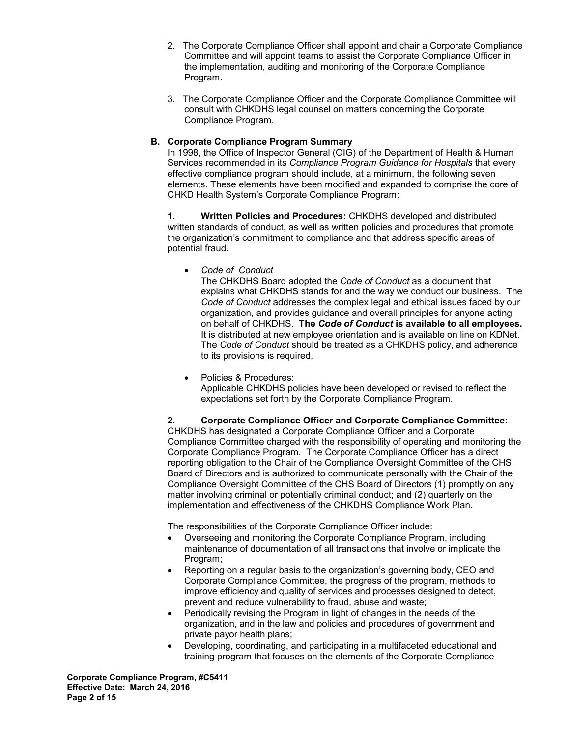- 2. The Corporate Compliance Officer shall appoint and chair a Corporate Compliance Committee and will appoint teams to assist the Corporate Compliance Officer in the implementation, auditing and monitoring of the Corporate Compliance Program.
- 3. The Corporate Compliance Officer and the Corporate Compliance Committee will consult with CHKDHS legal counsel on matters concerning the Corporate Compliance Program.

### **B. Corporate Compliance Program Summary**

In 1998, the Office of Inspector General (OIG) of the Department of Health & Human Services recommended in its *Compliance Program Guidance for Hospitals* that every effective compliance program should include, at a minimum, the following seven elements. These elements have been modified and expanded to comprise the core of CHKD Health System's Corporate Compliance Program:

**1. Written Policies and Procedures:** CHKDHS developed and distributed written standards of conduct, as well as written policies and procedures that promote the organization's commitment to compliance and that address specific areas of potential fraud.

• *Code of Conduct* 

The CHKDHS Board adopted the *Code of Conduct* as a document that explains what CHKDHS stands for and the way we conduct our business. The *Code of Conduct* addresses the complex legal and ethical issues faced by our organization, and provides guidance and overall principles for anyone acting on behalf of CHKDHS. **The** *Code of Conduct* **is available to all employees.**  It is distributed at new employee orientation and is available on line on KDNet. The *Code of Conduct* should be treated as a CHKDHS policy, and adherence to its provisions is required.

• Policies & Procedures: Applicable CHKDHS policies have been developed or revised to reflect the expectations set forth by the Corporate Compliance Program.

**2. Corporate Compliance Officer and Corporate Compliance Committee:** CHKDHS has designated a Corporate Compliance Officer and a Corporate Compliance Committee charged with the responsibility of operating and monitoring the Corporate Compliance Program. The Corporate Compliance Officer has a direct reporting obligation to the Chair of the Compliance Oversight Committee of the CHS Board of Directors and is authorized to communicate personally with the Chair of the Compliance Oversight Committee of the CHS Board of Directors (1) promptly on any matter involving criminal or potentially criminal conduct; and (2) quarterly on the implementation and effectiveness of the CHKDHS Compliance Work Plan.

The responsibilities of the Corporate Compliance Officer include:

- Overseeing and monitoring the Corporate Compliance Program, including maintenance of documentation of all transactions that involve or implicate the Program;
- Reporting on a regular basis to the organization's governing body, CEO and Corporate Compliance Committee, the progress of the program, methods to improve efficiency and quality of services and processes designed to detect, prevent and reduce vulnerability to fraud, abuse and waste;
- Periodically revising the Program in light of changes in the needs of the organization, and in the law and policies and procedures of government and private payor health plans;
- Developing, coordinating, and participating in a multifaceted educational and training program that focuses on the elements of the Corporate Compliance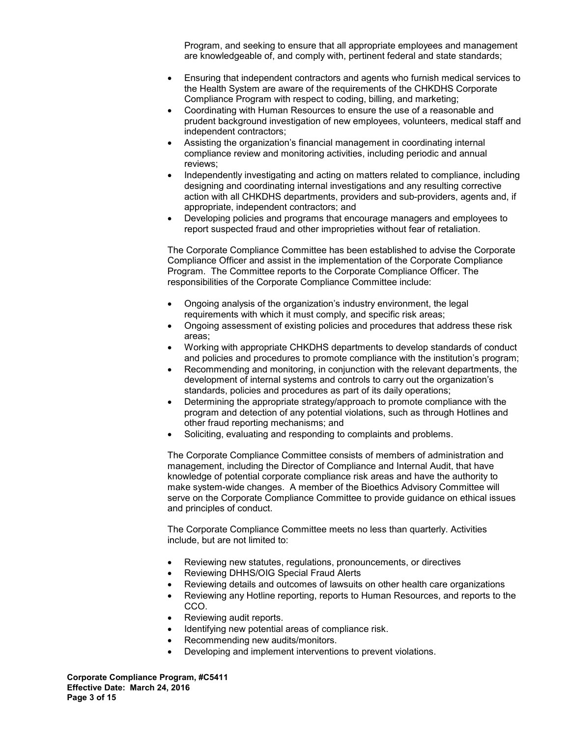Program, and seeking to ensure that all appropriate employees and management are knowledgeable of, and comply with, pertinent federal and state standards;

- Ensuring that independent contractors and agents who furnish medical services to the Health System are aware of the requirements of the CHKDHS Corporate Compliance Program with respect to coding, billing, and marketing;
- Coordinating with Human Resources to ensure the use of a reasonable and prudent background investigation of new employees, volunteers, medical staff and independent contractors;
- Assisting the organization's financial management in coordinating internal compliance review and monitoring activities, including periodic and annual reviews;
- Independently investigating and acting on matters related to compliance, including designing and coordinating internal investigations and any resulting corrective action with all CHKDHS departments, providers and sub-providers, agents and, if appropriate, independent contractors; and
- Developing policies and programs that encourage managers and employees to report suspected fraud and other improprieties without fear of retaliation.

The Corporate Compliance Committee has been established to advise the Corporate Compliance Officer and assist in the implementation of the Corporate Compliance Program. The Committee reports to the Corporate Compliance Officer. The responsibilities of the Corporate Compliance Committee include:

- Ongoing analysis of the organization's industry environment, the legal requirements with which it must comply, and specific risk areas;
- Ongoing assessment of existing policies and procedures that address these risk areas;
- Working with appropriate CHKDHS departments to develop standards of conduct and policies and procedures to promote compliance with the institution's program;
- Recommending and monitoring, in conjunction with the relevant departments, the development of internal systems and controls to carry out the organization's standards, policies and procedures as part of its daily operations;
- Determining the appropriate strategy/approach to promote compliance with the program and detection of any potential violations, such as through Hotlines and other fraud reporting mechanisms; and
- Soliciting, evaluating and responding to complaints and problems.

The Corporate Compliance Committee consists of members of administration and management, including the Director of Compliance and Internal Audit, that have knowledge of potential corporate compliance risk areas and have the authority to make system-wide changes. A member of the Bioethics Advisory Committee will serve on the Corporate Compliance Committee to provide guidance on ethical issues and principles of conduct.

The Corporate Compliance Committee meets no less than quarterly. Activities include, but are not limited to:

- Reviewing new statutes, regulations, pronouncements, or directives
- Reviewing DHHS/OIG Special Fraud Alerts
- Reviewing details and outcomes of lawsuits on other health care organizations
- Reviewing any Hotline reporting, reports to Human Resources, and reports to the CCO.
- Reviewing audit reports.
- Identifying new potential areas of compliance risk.
- Recommending new audits/monitors.
- Developing and implement interventions to prevent violations.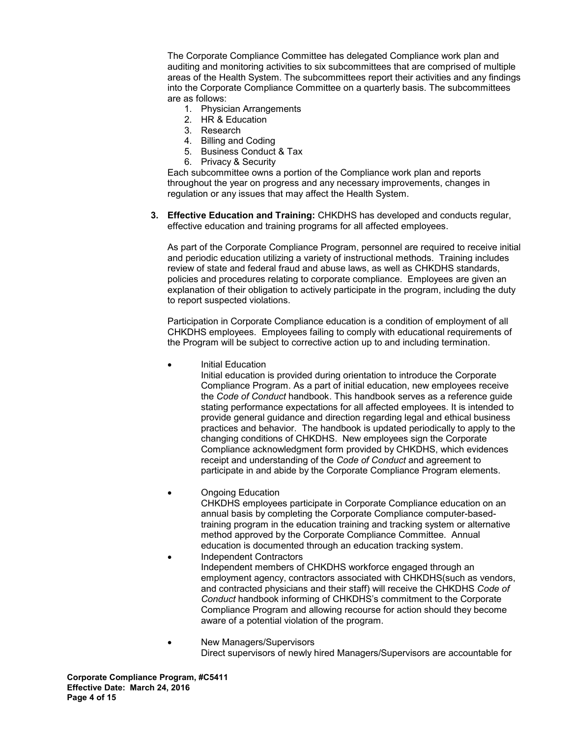The Corporate Compliance Committee has delegated Compliance work plan and auditing and monitoring activities to six subcommittees that are comprised of multiple areas of the Health System. The subcommittees report their activities and any findings into the Corporate Compliance Committee on a quarterly basis. The subcommittees are as follows:

- 1. Physician Arrangements
- 2. HR & Education
- 3. Research
- 4. Billing and Coding
- 5. Business Conduct & Tax
- 6. Privacy & Security

Each subcommittee owns a portion of the Compliance work plan and reports throughout the year on progress and any necessary improvements, changes in regulation or any issues that may affect the Health System.

**3. Effective Education and Training:** CHKDHS has developed and conducts regular, effective education and training programs for all affected employees.

As part of the Corporate Compliance Program, personnel are required to receive initial and periodic education utilizing a variety of instructional methods. Training includes review of state and federal fraud and abuse laws, as well as CHKDHS standards, policies and procedures relating to corporate compliance. Employees are given an explanation of their obligation to actively participate in the program, including the duty to report suspected violations.

Participation in Corporate Compliance education is a condition of employment of all CHKDHS employees. Employees failing to comply with educational requirements of the Program will be subject to corrective action up to and including termination.

Initial Education

Initial education is provided during orientation to introduce the Corporate Compliance Program. As a part of initial education, new employees receive the *Code of Conduct* handbook. This handbook serves as a reference guide stating performance expectations for all affected employees. It is intended to provide general guidance and direction regarding legal and ethical business practices and behavior. The handbook is updated periodically to apply to the changing conditions of CHKDHS. New employees sign the Corporate Compliance acknowledgment form provided by CHKDHS, which evidences receipt and understanding of the *Code of Conduct* and agreement to participate in and abide by the Corporate Compliance Program elements.

• Ongoing Education

CHKDHS employees participate in Corporate Compliance education on an annual basis by completing the Corporate Compliance computer-basedtraining program in the education training and tracking system or alternative method approved by the Corporate Compliance Committee. Annual education is documented through an education tracking system.

- Independent Contractors Independent members of CHKDHS workforce engaged through an employment agency, contractors associated with CHKDHS(such as vendors, and contracted physicians and their staff) will receive the CHKDHS *Code of Conduct* handbook informing of CHKDHS's commitment to the Corporate Compliance Program and allowing recourse for action should they become aware of a potential violation of the program.
- New Managers/Supervisors Direct supervisors of newly hired Managers/Supervisors are accountable for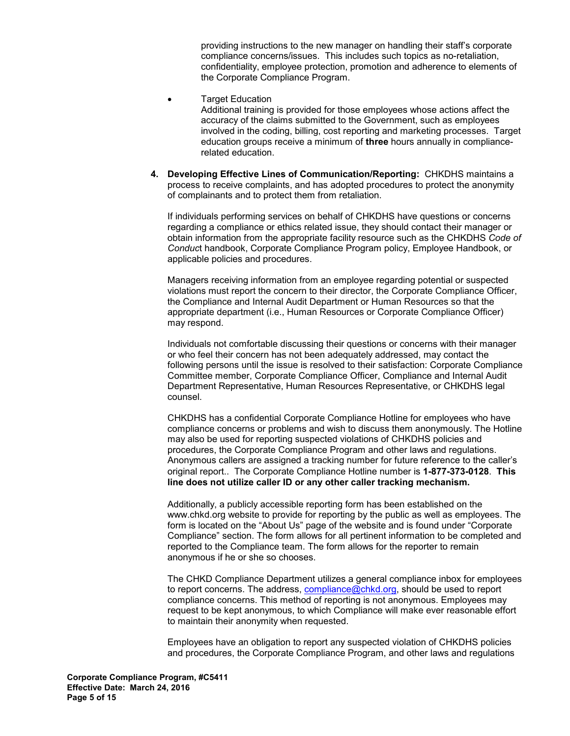providing instructions to the new manager on handling their staff's corporate compliance concerns/issues. This includes such topics as no-retaliation, confidentiality, employee protection, promotion and adherence to elements of the Corporate Compliance Program.

**Target Education** 

Additional training is provided for those employees whose actions affect the accuracy of the claims submitted to the Government, such as employees involved in the coding, billing, cost reporting and marketing processes. Target education groups receive a minimum of **three** hours annually in compliancerelated education.

**4. Developing Effective Lines of Communication/Reporting:** CHKDHS maintains a process to receive complaints, and has adopted procedures to protect the anonymity of complainants and to protect them from retaliation.

If individuals performing services on behalf of CHKDHS have questions or concerns regarding a compliance or ethics related issue, they should contact their manager or obtain information from the appropriate facility resource such as the CHKDHS *Code of Conduc*t handbook, Corporate Compliance Program policy, Employee Handbook, or applicable policies and procedures.

Managers receiving information from an employee regarding potential or suspected violations must report the concern to their director, the Corporate Compliance Officer, the Compliance and Internal Audit Department or Human Resources so that the appropriate department (i.e., Human Resources or Corporate Compliance Officer) may respond.

Individuals not comfortable discussing their questions or concerns with their manager or who feel their concern has not been adequately addressed, may contact the following persons until the issue is resolved to their satisfaction: Corporate Compliance Committee member, Corporate Compliance Officer, Compliance and Internal Audit Department Representative, Human Resources Representative, or CHKDHS legal counsel.

CHKDHS has a confidential Corporate Compliance Hotline for employees who have compliance concerns or problems and wish to discuss them anonymously. The Hotline may also be used for reporting suspected violations of CHKDHS policies and procedures, the Corporate Compliance Program and other laws and regulations. Anonymous callers are assigned a tracking number for future reference to the caller's original report.. The Corporate Compliance Hotline number is **1-877-373-0128**. **This line does not utilize caller ID or any other caller tracking mechanism.** 

Additionally, a publicly accessible reporting form has been established on the www.chkd.org website to provide for reporting by the public as well as employees. The form is located on the "About Us" page of the website and is found under "Corporate Compliance" section. The form allows for all pertinent information to be completed and reported to the Compliance team. The form allows for the reporter to remain anonymous if he or she so chooses.

The CHKD Compliance Department utilizes a general compliance inbox for employees to report concerns. The address, [compliance@chkd.org](mailto:compliance@chkd.org), should be used to report compliance concerns. This method of reporting is not anonymous. Employees may request to be kept anonymous, to which Compliance will make ever reasonable effort to maintain their anonymity when requested.

Employees have an obligation to report any suspected violation of CHKDHS policies and procedures, the Corporate Compliance Program, and other laws and regulations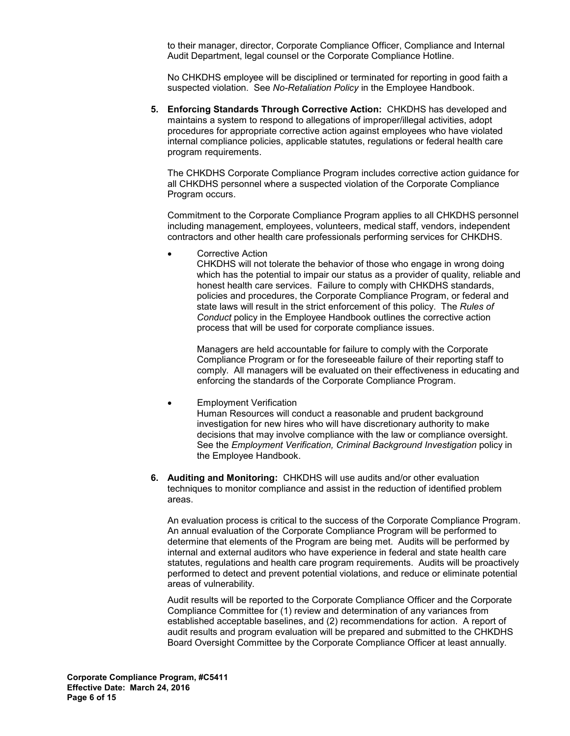to their manager, director, Corporate Compliance Officer, Compliance and Internal Audit Department, legal counsel or the Corporate Compliance Hotline.

No CHKDHS employee will be disciplined or terminated for reporting in good faith a suspected violation. See *No-Retaliation Policy* in the Employee Handbook.

**5. Enforcing Standards Through Corrective Action:** CHKDHS has developed and maintains a system to respond to allegations of improper/illegal activities, adopt procedures for appropriate corrective action against employees who have violated internal compliance policies, applicable statutes, regulations or federal health care program requirements.

The CHKDHS Corporate Compliance Program includes corrective action guidance for all CHKDHS personnel where a suspected violation of the Corporate Compliance Program occurs.

Commitment to the Corporate Compliance Program applies to all CHKDHS personnel including management, employees, volunteers, medical staff, vendors, independent contractors and other health care professionals performing services for CHKDHS.

Corrective Action

CHKDHS will not tolerate the behavior of those who engage in wrong doing which has the potential to impair our status as a provider of quality, reliable and honest health care services. Failure to comply with CHKDHS standards, policies and procedures, the Corporate Compliance Program, or federal and state laws will result in the strict enforcement of this policy. The *Rules of Conduct* policy in the Employee Handbook outlines the corrective action process that will be used for corporate compliance issues.

Managers are held accountable for failure to comply with the Corporate Compliance Program or for the foreseeable failure of their reporting staff to comply. All managers will be evaluated on their effectiveness in educating and enforcing the standards of the Corporate Compliance Program.

- **Employment Verification** Human Resources will conduct a reasonable and prudent background investigation for new hires who will have discretionary authority to make decisions that may involve compliance with the law or compliance oversight. See the *Employment Verification, Criminal Background Investigation* policy in the Employee Handbook.
- **6. Auditing and Monitoring:** CHKDHS will use audits and/or other evaluation techniques to monitor compliance and assist in the reduction of identified problem areas.

An evaluation process is critical to the success of the Corporate Compliance Program. An annual evaluation of the Corporate Compliance Program will be performed to determine that elements of the Program are being met. Audits will be performed by internal and external auditors who have experience in federal and state health care statutes, regulations and health care program requirements. Audits will be proactively performed to detect and prevent potential violations, and reduce or eliminate potential areas of vulnerability.

Audit results will be reported to the Corporate Compliance Officer and the Corporate Compliance Committee for (1) review and determination of any variances from established acceptable baselines, and (2) recommendations for action. A report of audit results and program evaluation will be prepared and submitted to the CHKDHS Board Oversight Committee by the Corporate Compliance Officer at least annually.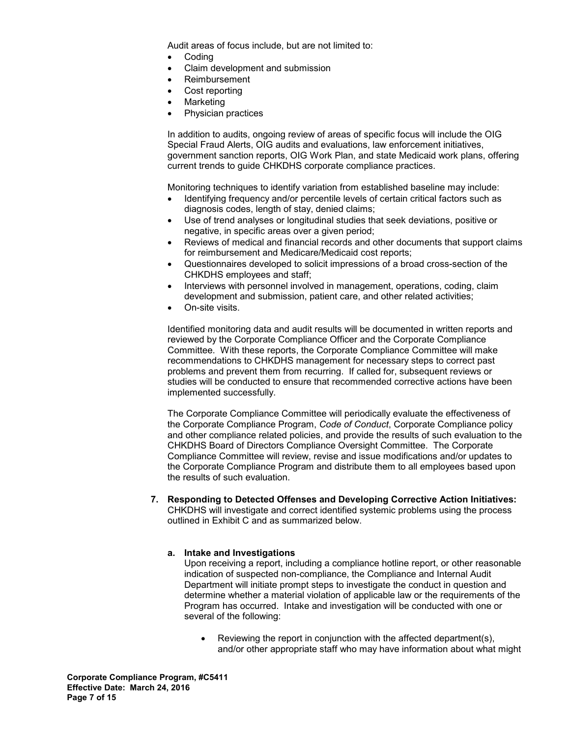Audit areas of focus include, but are not limited to:

- Coding
- Claim development and submission
- Reimbursement
- Cost reporting
- **Marketing**
- Physician practices

In addition to audits, ongoing review of areas of specific focus will include the OIG Special Fraud Alerts, OIG audits and evaluations, law enforcement initiatives, government sanction reports, OIG Work Plan, and state Medicaid work plans, offering current trends to guide CHKDHS corporate compliance practices.

Monitoring techniques to identify variation from established baseline may include:

- Identifying frequency and/or percentile levels of certain critical factors such as diagnosis codes, length of stay, denied claims;
- Use of trend analyses or longitudinal studies that seek deviations, positive or negative, in specific areas over a given period;
- Reviews of medical and financial records and other documents that support claims for reimbursement and Medicare/Medicaid cost reports;
- Questionnaires developed to solicit impressions of a broad cross-section of the CHKDHS employees and staff;
- Interviews with personnel involved in management, operations, coding, claim development and submission, patient care, and other related activities;
- On-site visits.

Identified monitoring data and audit results will be documented in written reports and reviewed by the Corporate Compliance Officer and the Corporate Compliance Committee. With these reports, the Corporate Compliance Committee will make recommendations to CHKDHS management for necessary steps to correct past problems and prevent them from recurring. If called for, subsequent reviews or studies will be conducted to ensure that recommended corrective actions have been implemented successfully.

The Corporate Compliance Committee will periodically evaluate the effectiveness of the Corporate Compliance Program, *Code of Conduct*, Corporate Compliance policy and other compliance related policies, and provide the results of such evaluation to the CHKDHS Board of Directors Compliance Oversight Committee. The Corporate Compliance Committee will review, revise and issue modifications and/or updates to the Corporate Compliance Program and distribute them to all employees based upon the results of such evaluation.

**7. Responding to Detected Offenses and Developing Corrective Action Initiatives:**  CHKDHS will investigate and correct identified systemic problems using the process outlined in Exhibit C and as summarized below.

#### **a. Intake and Investigations**

Upon receiving a report, including a compliance hotline report, or other reasonable indication of suspected non-compliance, the Compliance and Internal Audit Department will initiate prompt steps to investigate the conduct in question and determine whether a material violation of applicable law or the requirements of the Program has occurred. Intake and investigation will be conducted with one or several of the following:

• Reviewing the report in conjunction with the affected department(s), and/or other appropriate staff who may have information about what might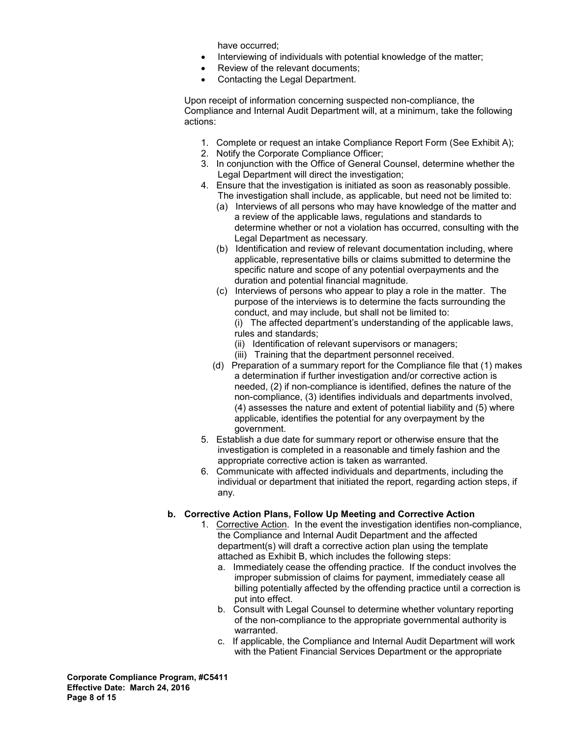have occurred;

- Interviewing of individuals with potential knowledge of the matter;
- Review of the relevant documents;
- Contacting the Legal Department.

 Upon receipt of information concerning suspected non-compliance, the Compliance and Internal Audit Department will, at a minimum, take the following actions:

- 1. Complete or request an intake Compliance Report Form (See Exhibit A);
- 2. Notify the Corporate Compliance Officer;
- 3. In conjunction with the Office of General Counsel, determine whether the Legal Department will direct the investigation;
- 4. Ensure that the investigation is initiated as soon as reasonably possible. The investigation shall include, as applicable, but need not be limited to:
	- (a) Interviews of all persons who may have knowledge of the matter and a review of the applicable laws, regulations and standards to determine whether or not a violation has occurred, consulting with the Legal Department as necessary.
	- (b) Identification and review of relevant documentation including, where applicable, representative bills or claims submitted to determine the specific nature and scope of any potential overpayments and the duration and potential financial magnitude.
	- (c) Interviews of persons who appear to play a role in the matter. The purpose of the interviews is to determine the facts surrounding the conduct, and may include, but shall not be limited to: (i) The affected department's understanding of the applicable laws, rules and standards;
		- (ii) Identification of relevant supervisors or managers;
		- (iii) Training that the department personnel received.
	- (d) Preparation of a summary report for the Compliance file that (1) makes a determination if further investigation and/or corrective action is needed, (2) if non-compliance is identified, defines the nature of the non-compliance, (3) identifies individuals and departments involved, (4) assesses the nature and extent of potential liability and (5) where applicable, identifies the potential for any overpayment by the government.
- 5. Establish a due date for summary report or otherwise ensure that the investigation is completed in a reasonable and timely fashion and the appropriate corrective action is taken as warranted.
- 6. Communicate with affected individuals and departments, including the individual or department that initiated the report, regarding action steps, if any.

#### **b. Corrective Action Plans, Follow Up Meeting and Corrective Action**

- 1. Corrective Action. In the event the investigation identifies non-compliance, the Compliance and Internal Audit Department and the affected department(s) will draft a corrective action plan using the template attached as Exhibit B, which includes the following steps:
	- a. Immediately cease the offending practice. If the conduct involves the improper submission of claims for payment, immediately cease all billing potentially affected by the offending practice until a correction is put into effect.
	- b. Consult with Legal Counsel to determine whether voluntary reporting of the non-compliance to the appropriate governmental authority is warranted.
	- c. If applicable, the Compliance and Internal Audit Department will work with the Patient Financial Services Department or the appropriate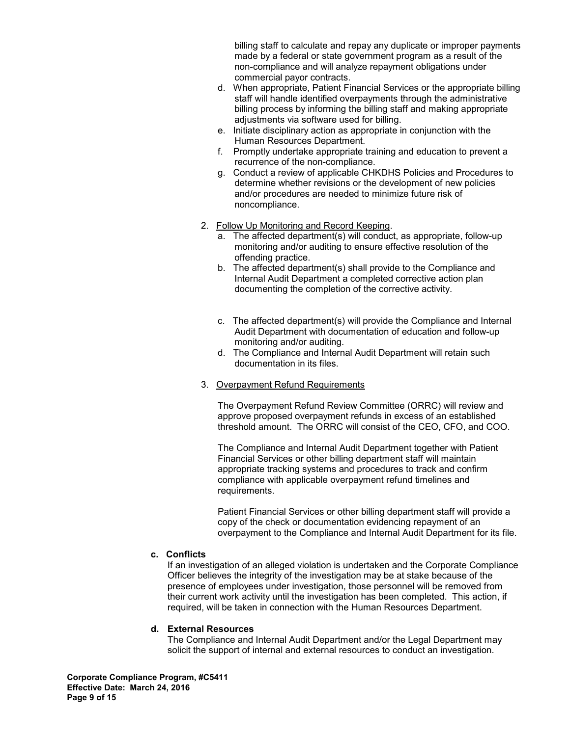billing staff to calculate and repay any duplicate or improper payments made by a federal or state government program as a result of the non-compliance and will analyze repayment obligations under commercial payor contracts.

- d. When appropriate, Patient Financial Services or the appropriate billing staff will handle identified overpayments through the administrative billing process by informing the billing staff and making appropriate adjustments via software used for billing.
- e. Initiate disciplinary action as appropriate in conjunction with the Human Resources Department.
- f. Promptly undertake appropriate training and education to prevent a recurrence of the non-compliance.
- g. Conduct a review of applicable CHKDHS Policies and Procedures to determine whether revisions or the development of new policies and/or procedures are needed to minimize future risk of noncompliance.
- 2. Follow Up Monitoring and Record Keeping.
	- a. The affected department(s) will conduct, as appropriate, follow-up monitoring and/or auditing to ensure effective resolution of the offending practice.
	- b. The affected department(s) shall provide to the Compliance and Internal Audit Department a completed corrective action plan documenting the completion of the corrective activity.
	- c. The affected department(s) will provide the Compliance and Internal Audit Department with documentation of education and follow-up monitoring and/or auditing.
	- d. The Compliance and Internal Audit Department will retain such documentation in its files.
- 3. Overpayment Refund Requirements

The Overpayment Refund Review Committee (ORRC) will review and approve proposed overpayment refunds in excess of an established threshold amount. The ORRC will consist of the CEO, CFO, and COO.

The Compliance and Internal Audit Department together with Patient Financial Services or other billing department staff will maintain appropriate tracking systems and procedures to track and confirm compliance with applicable overpayment refund timelines and requirements.

Patient Financial Services or other billing department staff will provide a copy of the check or documentation evidencing repayment of an overpayment to the Compliance and Internal Audit Department for its file.

#### **c. Conflicts**

If an investigation of an alleged violation is undertaken and the Corporate Compliance Officer believes the integrity of the investigation may be at stake because of the presence of employees under investigation, those personnel will be removed from their current work activity until the investigation has been completed. This action, if required, will be taken in connection with the Human Resources Department.

#### **d. External Resources**

The Compliance and Internal Audit Department and/or the Legal Department may solicit the support of internal and external resources to conduct an investigation.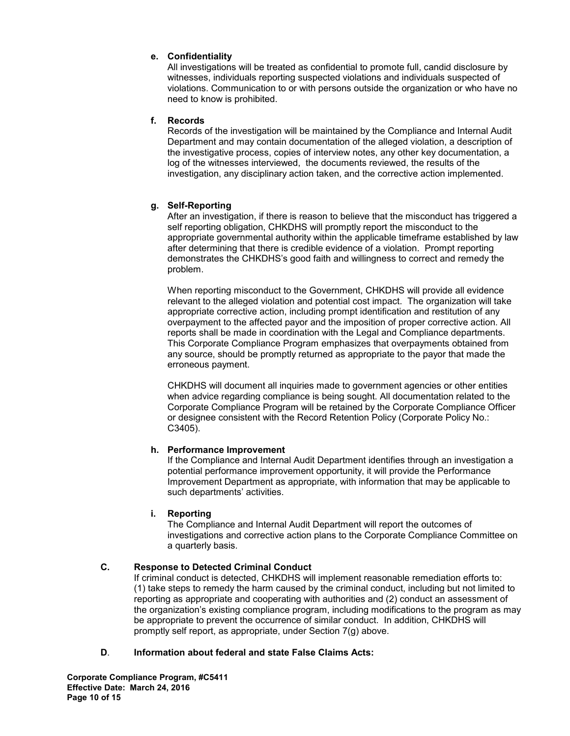## **e. Confidentiality**

All investigations will be treated as confidential to promote full, candid disclosure by witnesses, individuals reporting suspected violations and individuals suspected of violations. Communication to or with persons outside the organization or who have no need to know is prohibited.

### **f. Records**

Records of the investigation will be maintained by the Compliance and Internal Audit Department and may contain documentation of the alleged violation, a description of the investigative process, copies of interview notes, any other key documentation, a log of the witnesses interviewed, the documents reviewed, the results of the investigation, any disciplinary action taken, and the corrective action implemented.

## **g. Self-Reporting**

After an investigation, if there is reason to believe that the misconduct has triggered a self reporting obligation, CHKDHS will promptly report the misconduct to the appropriate governmental authority within the applicable timeframe established by law after determining that there is credible evidence of a violation. Prompt reporting demonstrates the CHKDHS's good faith and willingness to correct and remedy the problem.

When reporting misconduct to the Government, CHKDHS will provide all evidence relevant to the alleged violation and potential cost impact. The organization will take appropriate corrective action, including prompt identification and restitution of any overpayment to the affected payor and the imposition of proper corrective action. All reports shall be made in coordination with the Legal and Compliance departments. This Corporate Compliance Program emphasizes that overpayments obtained from any source, should be promptly returned as appropriate to the payor that made the erroneous payment.

CHKDHS will document all inquiries made to government agencies or other entities when advice regarding compliance is being sought. All documentation related to the Corporate Compliance Program will be retained by the Corporate Compliance Officer or designee consistent with the Record Retention Policy (Corporate Policy No.: C3405).

#### **h. Performance Improvement**

If the Compliance and Internal Audit Department identifies through an investigation a potential performance improvement opportunity, it will provide the Performance Improvement Department as appropriate, with information that may be applicable to such departments' activities.

#### **i. Reporting**

The Compliance and Internal Audit Department will report the outcomes of investigations and corrective action plans to the Corporate Compliance Committee on a quarterly basis.

## **C. Response to Detected Criminal Conduct**

If criminal conduct is detected, CHKDHS will implement reasonable remediation efforts to: (1) take steps to remedy the harm caused by the criminal conduct, including but not limited to reporting as appropriate and cooperating with authorities and (2) conduct an assessment of the organization's existing compliance program, including modifications to the program as may be appropriate to prevent the occurrence of similar conduct. In addition, CHKDHS will promptly self report, as appropriate, under Section 7(g) above.

#### **D**. **Information about federal and state False Claims Acts:**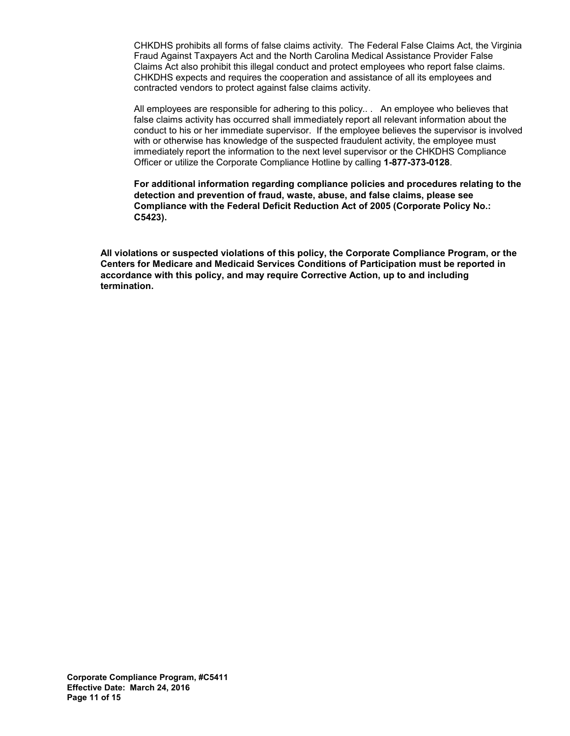CHKDHS prohibits all forms of false claims activity. The Federal False Claims Act, the Virginia Fraud Against Taxpayers Act and the North Carolina Medical Assistance Provider False Claims Act also prohibit this illegal conduct and protect employees who report false claims. CHKDHS expects and requires the cooperation and assistance of all its employees and contracted vendors to protect against false claims activity.

All employees are responsible for adhering to this policy.. . An employee who believes that false claims activity has occurred shall immediately report all relevant information about the conduct to his or her immediate supervisor. If the employee believes the supervisor is involved with or otherwise has knowledge of the suspected fraudulent activity, the employee must immediately report the information to the next level supervisor or the CHKDHS Compliance Officer or utilize the Corporate Compliance Hotline by calling **1-877-373-0128**.

**For additional information regarding compliance policies and procedures relating to the detection and prevention of fraud, waste, abuse, and false claims, please see Compliance with the Federal Deficit Reduction Act of 2005 (Corporate Policy No.: C5423).** 

**All violations or suspected violations of this policy, the Corporate Compliance Program, or the Centers for Medicare and Medicaid Services Conditions of Participation must be reported in accordance with this policy, and may require Corrective Action, up to and including termination.**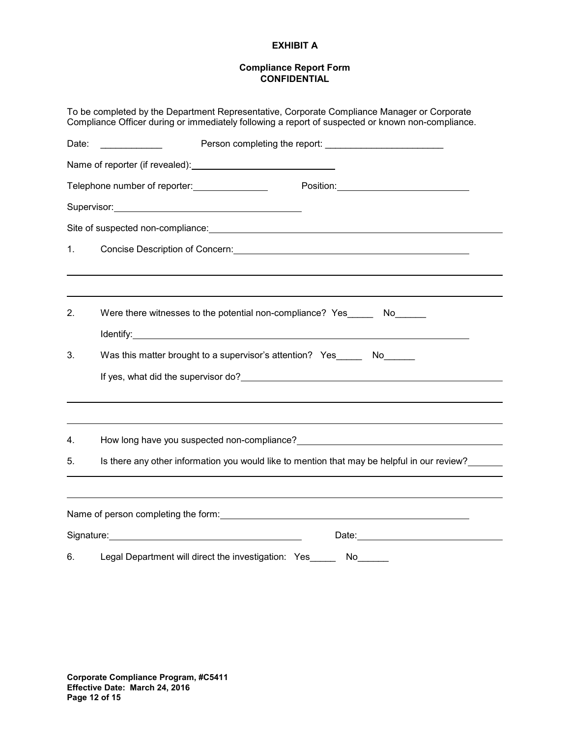### **EXHIBIT A**

#### **Compliance Report Form CONFIDENTIAL**

|                                                                            | To be completed by the Department Representative, Corporate Compliance Manager or Corporate<br>Compliance Officer during or immediately following a report of suspected or known non-compliance.                                                          |  |  |  |  |  |  |  |  |
|----------------------------------------------------------------------------|-----------------------------------------------------------------------------------------------------------------------------------------------------------------------------------------------------------------------------------------------------------|--|--|--|--|--|--|--|--|
| Date:                                                                      |                                                                                                                                                                                                                                                           |  |  |  |  |  |  |  |  |
|                                                                            | Name of reporter (if revealed): Name of reporter (if revealed):                                                                                                                                                                                           |  |  |  |  |  |  |  |  |
|                                                                            | Telephone number of reporter: ________________                                                                                                                                                                                                            |  |  |  |  |  |  |  |  |
|                                                                            | Supervisor: Supervisor:                                                                                                                                                                                                                                   |  |  |  |  |  |  |  |  |
|                                                                            | Site of suspected non-compliance: example and a set of suspension of the state of suspected non-compliance:                                                                                                                                               |  |  |  |  |  |  |  |  |
| 1.                                                                         |                                                                                                                                                                                                                                                           |  |  |  |  |  |  |  |  |
|                                                                            |                                                                                                                                                                                                                                                           |  |  |  |  |  |  |  |  |
| 2.<br>Were there witnesses to the potential non-compliance? Yes _______ No |                                                                                                                                                                                                                                                           |  |  |  |  |  |  |  |  |
|                                                                            | Identify: <u>Alexander Communication</u>                                                                                                                                                                                                                  |  |  |  |  |  |  |  |  |
| 3.                                                                         | Was this matter brought to a supervisor's attention? Yes _______ No                                                                                                                                                                                       |  |  |  |  |  |  |  |  |
|                                                                            |                                                                                                                                                                                                                                                           |  |  |  |  |  |  |  |  |
|                                                                            |                                                                                                                                                                                                                                                           |  |  |  |  |  |  |  |  |
| 4.                                                                         | How long have you suspected non-compliance?<br>Management and the management of the management of the management of the management of the management of the                                                                                               |  |  |  |  |  |  |  |  |
| 5.                                                                         | Is there any other information you would like to mention that may be helpful in our review?                                                                                                                                                               |  |  |  |  |  |  |  |  |
|                                                                            |                                                                                                                                                                                                                                                           |  |  |  |  |  |  |  |  |
|                                                                            | Name of person completing the form: Name of person completing the form:                                                                                                                                                                                   |  |  |  |  |  |  |  |  |
|                                                                            | Signature: Signature: Signature: Signature: Signature: Signature: Signature: Signature: Signature: Signature: Signature: Signature: Signature: Signature: Signature: Signature: Signature: Signature: Signature: Signature: Si<br>Date: _________________ |  |  |  |  |  |  |  |  |
| 6.                                                                         | Legal Department will direct the investigation: Yes<br>No                                                                                                                                                                                                 |  |  |  |  |  |  |  |  |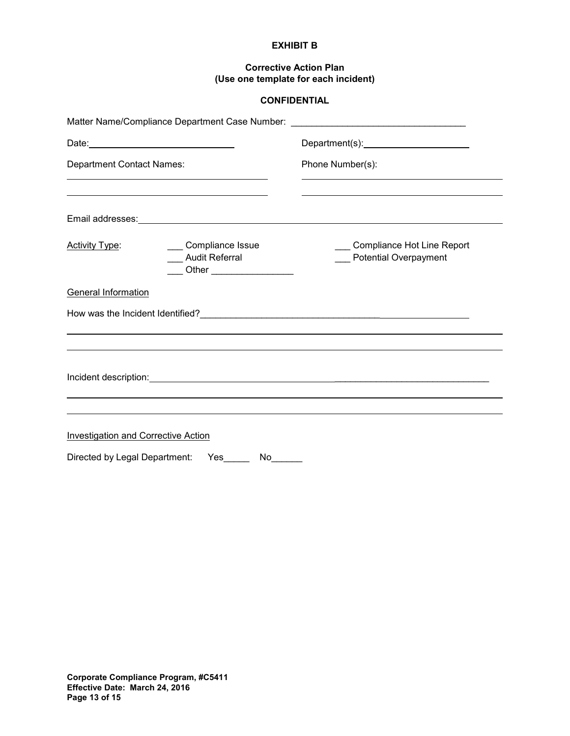#### **EXHIBIT B**

### **Corrective Action Plan (Use one template for each incident)**

# **CONFIDENTIAL**

|                                            |                                                                         | Matter Name/Compliance Department Case Number: _________________________________                                                                                                                                                                                                                                         |  |  |  |
|--------------------------------------------|-------------------------------------------------------------------------|--------------------------------------------------------------------------------------------------------------------------------------------------------------------------------------------------------------------------------------------------------------------------------------------------------------------------|--|--|--|
|                                            |                                                                         |                                                                                                                                                                                                                                                                                                                          |  |  |  |
| <b>Department Contact Names:</b>           |                                                                         | Phone Number(s):                                                                                                                                                                                                                                                                                                         |  |  |  |
|                                            |                                                                         |                                                                                                                                                                                                                                                                                                                          |  |  |  |
|                                            |                                                                         |                                                                                                                                                                                                                                                                                                                          |  |  |  |
| <b>Activity Type:</b>                      | ___ Compliance Issue<br>Audit Referral<br>____ Other __________________ | Compliance Hot Line Report<br><b>Potential Overpayment</b>                                                                                                                                                                                                                                                               |  |  |  |
| <b>General Information</b>                 |                                                                         |                                                                                                                                                                                                                                                                                                                          |  |  |  |
|                                            |                                                                         |                                                                                                                                                                                                                                                                                                                          |  |  |  |
|                                            |                                                                         |                                                                                                                                                                                                                                                                                                                          |  |  |  |
|                                            |                                                                         | Incident description: <u>contract and contract and contract and contract and contract and contract and contract and contract and contract and contract and contract and contract and contract and contract and contract and cont</u><br>,我们也不会有什么。""我们的人,我们也不会有什么?""我们的人,我们也不会有什么?""我们的人,我们也不会有什么?""我们的人,我们也不会有什么?""我们的人 |  |  |  |
|                                            |                                                                         |                                                                                                                                                                                                                                                                                                                          |  |  |  |
| <b>Investigation and Corrective Action</b> |                                                                         |                                                                                                                                                                                                                                                                                                                          |  |  |  |
| Directed by Legal Department:              | Yes<br>$No$ <sub>___</sub>                                              |                                                                                                                                                                                                                                                                                                                          |  |  |  |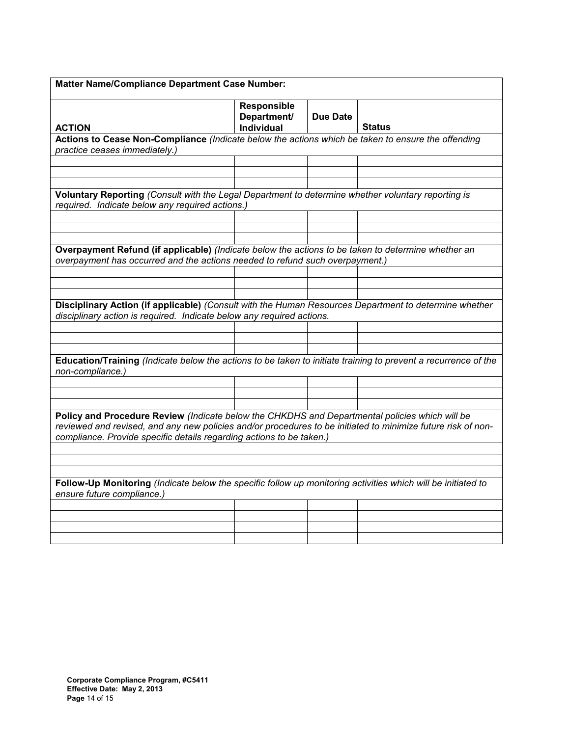| Matter Name/Compliance Department Case Number:                                                                                                                                                                                                                                         |                                          |                 |               |  |  |  |  |
|----------------------------------------------------------------------------------------------------------------------------------------------------------------------------------------------------------------------------------------------------------------------------------------|------------------------------------------|-----------------|---------------|--|--|--|--|
| <b>ACTION</b>                                                                                                                                                                                                                                                                          | Responsible<br>Department/<br>Individual | <b>Due Date</b> | <b>Status</b> |  |  |  |  |
| Actions to Cease Non-Compliance (Indicate below the actions which be taken to ensure the offending                                                                                                                                                                                     |                                          |                 |               |  |  |  |  |
| practice ceases immediately.)                                                                                                                                                                                                                                                          |                                          |                 |               |  |  |  |  |
|                                                                                                                                                                                                                                                                                        |                                          |                 |               |  |  |  |  |
|                                                                                                                                                                                                                                                                                        |                                          |                 |               |  |  |  |  |
|                                                                                                                                                                                                                                                                                        |                                          |                 |               |  |  |  |  |
| Voluntary Reporting (Consult with the Legal Department to determine whether voluntary reporting is<br>required. Indicate below any required actions.)                                                                                                                                  |                                          |                 |               |  |  |  |  |
|                                                                                                                                                                                                                                                                                        |                                          |                 |               |  |  |  |  |
|                                                                                                                                                                                                                                                                                        |                                          |                 |               |  |  |  |  |
|                                                                                                                                                                                                                                                                                        |                                          |                 |               |  |  |  |  |
| Overpayment Refund (if applicable) (Indicate below the actions to be taken to determine whether an<br>overpayment has occurred and the actions needed to refund such overpayment.)                                                                                                     |                                          |                 |               |  |  |  |  |
|                                                                                                                                                                                                                                                                                        |                                          |                 |               |  |  |  |  |
|                                                                                                                                                                                                                                                                                        |                                          |                 |               |  |  |  |  |
|                                                                                                                                                                                                                                                                                        |                                          |                 |               |  |  |  |  |
| Disciplinary Action (if applicable) (Consult with the Human Resources Department to determine whether<br>disciplinary action is required. Indicate below any required actions.                                                                                                         |                                          |                 |               |  |  |  |  |
|                                                                                                                                                                                                                                                                                        |                                          |                 |               |  |  |  |  |
|                                                                                                                                                                                                                                                                                        |                                          |                 |               |  |  |  |  |
|                                                                                                                                                                                                                                                                                        |                                          |                 |               |  |  |  |  |
| Education/Training (Indicate below the actions to be taken to initiate training to prevent a recurrence of the<br>non-compliance.)                                                                                                                                                     |                                          |                 |               |  |  |  |  |
|                                                                                                                                                                                                                                                                                        |                                          |                 |               |  |  |  |  |
|                                                                                                                                                                                                                                                                                        |                                          |                 |               |  |  |  |  |
|                                                                                                                                                                                                                                                                                        |                                          |                 |               |  |  |  |  |
| Policy and Procedure Review (Indicate below the CHKDHS and Departmental policies which will be<br>reviewed and revised, and any new policies and/or procedures to be initiated to minimize future risk of non-<br>compliance. Provide specific details regarding actions to be taken.) |                                          |                 |               |  |  |  |  |
|                                                                                                                                                                                                                                                                                        |                                          |                 |               |  |  |  |  |
|                                                                                                                                                                                                                                                                                        |                                          |                 |               |  |  |  |  |
|                                                                                                                                                                                                                                                                                        |                                          |                 |               |  |  |  |  |
| Follow-Up Monitoring (Indicate below the specific follow up monitoring activities which will be initiated to<br>ensure future compliance.)                                                                                                                                             |                                          |                 |               |  |  |  |  |
|                                                                                                                                                                                                                                                                                        |                                          |                 |               |  |  |  |  |
|                                                                                                                                                                                                                                                                                        |                                          |                 |               |  |  |  |  |
|                                                                                                                                                                                                                                                                                        |                                          |                 |               |  |  |  |  |
|                                                                                                                                                                                                                                                                                        |                                          |                 |               |  |  |  |  |